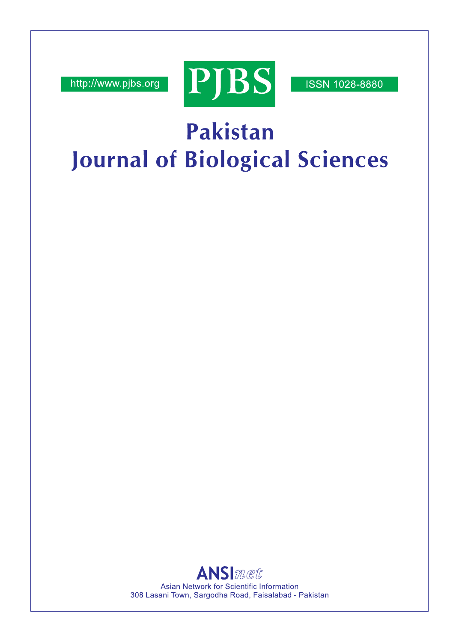http://www.pjbs.org



**ISSN 1028-8880** 

# Pakistan **Journal of Biological Sciences**

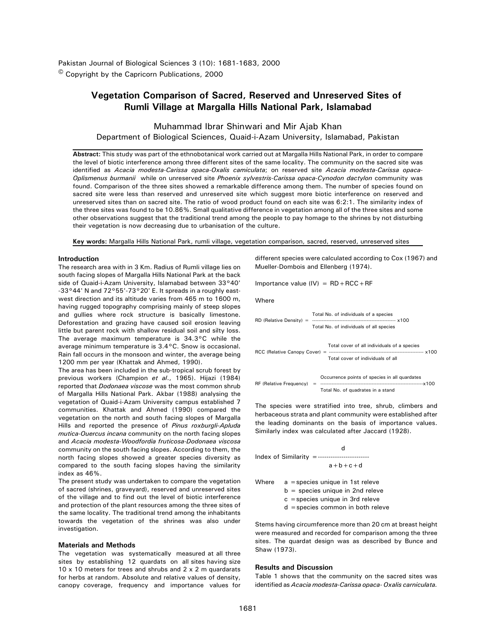Pakistan Journal of Biological Sciences 3 (10): 1681-1683, 2000  $\textdegree$  Copyright by the Capricorn Publications, 2000

## **Vegetation Comparison of Sacred, Reserved and Unreserved Sites of Rumli Village at Margalla Hills National Park, Islamabad**

Muhammad Ibrar Shinwari and Mir Ajab Khan Department of Biological Sciences, Quaid-i-Azam University, Islamabad, Pakistan

**Abstract:** This study was part of the ethnobotanical work carried out at Margalla Hills National Park, in order to compare the level of biotic interference among three different sites of the same locality. The community on the sacred site was identified as *Acacia modesta-Carissa opaca-Oxalis camiculata*; on reserved site *Acacia modesta-Carissa opaca-Oplismenus burmanii* while on unreserved site *Phoenix sylvestris-Carissa opaca-Cynodon dactylon* community was found. Comparison of the three sites showed a remarkable difference among them. The number of species found on sacred site were less than reserved and unreserved site which suggest more biotic interference on reserved and unreserved sites than on sacred site. The ratio of wood product found on each site was 6:2:1. The similarity index of the three sites was found to be 10.86%. Small qualitative difference in vegetation among all of the three sites and some other observations suggest that the traditional trend among the people to pay homage to the shrines by not disturbing their vegetation is now decreasing due to urbanisation of the culture.

**Key words:** Margalla Hills National Park, rumli village, vegetation comparison, sacred, reserved, unreserved sites

#### **Introduction**

The research area with in 3 Km. Radius of Rumli village lies on south facing slopes of Margalla Hills National Park at the back side of Quaid-i-Azam University, Islamabad between 33°40' -33°44' N and 72°55'-73°20' E. It spreads in a roughly eastwest direction and its altitude varies from 465 m to 1600 m, having rugged topography comprising mainly of steep slopes and gullies where rock structure is basically limestone. Deforestation and grazing have caused soil erosion leaving little but parent rock with shallow residual soil and silty loss. The average maximum temperature is 34.3°C while the average minimum temperature is 3.4°C. Snow is occasional. Rain fall occurs in the monsoon and winter, the average being 1200 mm per year (Khattak and Ahmed, 1990).

The area has been included in the sub-tropical scrub forest by previous workers (Champion *et al*., 1965). Hijazi (1984) reported that *Dodonaea viscose* was the most common shrub of Margalla Hills National Park. Akbar (1988) analysing the vegetation of Quaid-i-Azam University campus established 7 communities. Khattak and Ahmed (1990) compared the vegetation on the north and south facing slopes of Margalla Hills and reported the presence of *Pinus roxburgli-Apluda mutica-Ouercus incana* community on the north facing slopes and *Acacia modesta-Woodfordia fruticosa-Dodonaea viscosa* community on the south facing slopes. According to them, the north facing slopes showed a greater species diversity as compared to the south facing slopes having the similarity index as 46%.

The present study was undertaken to compare the vegetation of sacred (shrines, graveyard), reserved and unreserved sites of the village and to find out the level of biotic interference and protection of the plant resources among the three sites of the same locality. The traditional trend among the inhabitants towards the vegetation of the shrines was also under investigation.

#### **Materials and Methods**

The vegetation was systematically measured at all three sites by establishing 12 quardats on all sites having size 10 x 10 meters for trees and shrubs and 2 x 2 m quardarats for herbs at random. Absolute and relative values of density, canopy coverage, frequency and importance values for different species were calculated according to Cox (1967) and Mueller-Dombois and Ellenberg (1974).

Importance value  $(IV) = RD + RCC + RF$ 

**Where** 

| $RD$ (Relative Density) =                                                                                       | Total No. of individuals of a species<br>Total No. of individuals of all species   |  |  |  |
|-----------------------------------------------------------------------------------------------------------------|------------------------------------------------------------------------------------|--|--|--|
| Total cover of all individuals of a species<br>RCC (Relative Canopy Cover)<br>Total cover of individuals of all |                                                                                    |  |  |  |
| RF (Relative Frequency)                                                                                         | Occurrence points of species in all quardates<br>Total No. of quadrates in a stand |  |  |  |

The species were stratified into tree, shrub, climbers and herbaceous strata and plant community were established after the leading dominants on the basis of importance values. Similarly index was calculated after Jaccard (1928).

d Index of Similarity =-----------------------  $a+b+c+d$ Where a = species unique in 1st releve  $b =$  species unique in 2nd releve c =species unique in 3rd releve

d =species common in both releve

Stems having circumference more than 20 cm at breast height were measured and recorded for comparison among the three sites. The quardat design was as described by Bunce and Shaw (1973).

### **Results and Discussion**

Table 1 shows that the community on the sacred sites was identified as *Acacia modesta-Carissa opaca- Oxalis carniculata.*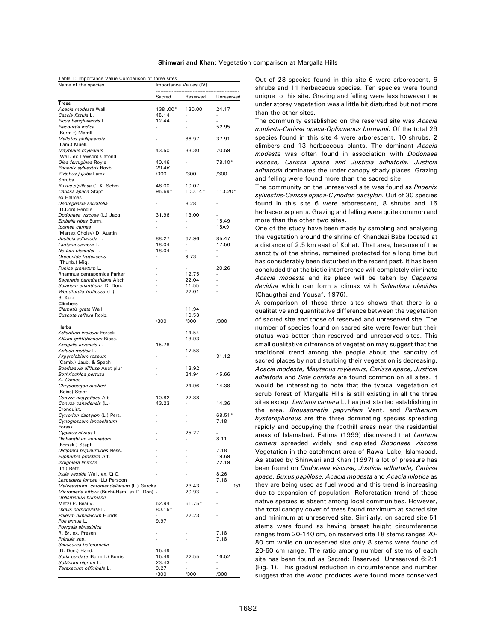#### **Shinwari and Khan:** Vegetation comparison at Margalla Hills

| Table 1: Importance Value Comparison of three sites<br>Name of the species | Importance Values (IV) |                |             |
|----------------------------------------------------------------------------|------------------------|----------------|-------------|
|                                                                            |                        |                |             |
|                                                                            | Sacred                 | Reserved       | Unreserved  |
| <b>Trees</b><br>Acacia modesta Wall.                                       | 138.00*                | 130.00         | 24.17       |
| Cassia fistula L.                                                          | 45.14                  |                |             |
| Ficus benghalensis L.                                                      | 12.44                  |                |             |
| Flacourtia indica                                                          |                        |                | 52.95       |
| (Burm.f) Merrill<br>Mellotus philippensis                                  |                        | 86.97          | 37.91       |
| (Lam.) Muell.                                                              |                        |                |             |
| Maytenus royleanus                                                         | 43.50                  | 33.30          | 70.59       |
| (Wall. ex Lawson) Cafond                                                   |                        |                |             |
| Olea ferruginea Royle<br>Phoenix sylvestris Roxb.                          | 40.46<br>20.46         |                | 78.10*      |
| <i>Ziziphus jujube</i> Lamk.                                               | /300                   | /300           | /300        |
| Shrubs                                                                     |                        |                |             |
| Buxus pipillosa C. K. Schm.                                                | 48.00                  | 10.07          |             |
| Carissa apaca Stapf                                                        | $95.69*$               | $100.14*$      | 113.20*     |
| ex Halmes<br>Debregeasia salicifolia                                       |                        | 8.28           |             |
| (D.Don) Rendle                                                             |                        |                |             |
| Dodonaea viscose (L.) Jacq.                                                | 31.96                  | 13.00          |             |
| Embelia ribes Burm.                                                        |                        |                | 15.49       |
| Ipomea carnea                                                              |                        |                | 15A9        |
| (Martex Choisy) D. Austin<br>Justicia adhatoda L.                          | 88.27                  | 67.96          | 85.47       |
| Lantana camera L.                                                          | 18.04                  | ۰              | 17.56       |
| Nerium oleander L.                                                         | 18.04                  |                |             |
| Oreocnide frutescens                                                       |                        | 9.73           |             |
| (Thunb.) Miq.                                                              |                        |                |             |
| Punica granatum L.                                                         |                        |                | 20.26       |
| Rhamnus pentapomica Parker<br>Sageretie barndrethiana Aitch                |                        | 12.75<br>22.04 |             |
| Solarium erianthum D. Don.                                                 |                        | 11.55          |             |
| Woodfordia fruticosa (L.)                                                  |                        | 22.01          |             |
| S. Kurz                                                                    |                        |                |             |
| <b>Climbers</b>                                                            |                        |                |             |
| Clematis grata Wall<br>Cuscuta reflexa Roxb.                               |                        | 11.94<br>10.53 |             |
|                                                                            | /300                   | /300           | /300        |
| Herbs                                                                      |                        |                |             |
| Adiantum incisum Forssk                                                    |                        | 14.54          |             |
| Allium griffithianum Bioss.                                                |                        | 13.93          |             |
| Anagalis arvensis L.<br>Apluda mutica L.                                   | 15.78                  | 17.58          |             |
| Argyrolobium roseum                                                        |                        |                | 31.12       |
| (Camb.) Jaub. & Spach                                                      |                        |                |             |
| Boerhaavie diffuse Auct plur                                               |                        | 13.92          |             |
| Bothriochloa pertusa<br>A. Camus                                           |                        | 24.94          | 45.66       |
| Chrysopogon aucheri                                                        |                        | 24.96          | 14.38       |
| (Boiss) Stapf                                                              |                        |                |             |
| Conyza aegyptiaca Ait                                                      | 10.82                  | 22.88          |             |
| Conyza canadensis (L.)                                                     | 43.23                  |                | 14.36       |
| Cronquist.<br>Cyrrorion dactylon (L.) Pers.                                |                        |                | 68.51*      |
| Cynoglossum lanceolatum                                                    |                        |                | 7.18        |
| Forssk.                                                                    |                        |                |             |
| Cyperus niveus L.                                                          |                        | 25.27          |             |
| Dichanthium annuiatum                                                      |                        |                | 8.11        |
| (Forssk.) Stapf.                                                           |                        |                | 7.18        |
| Didiptera bupleuroides Ness.<br>Euphorbia prostata Ait.                    |                        |                | 19.69       |
| Indigolera linifolie                                                       |                        |                | 22.19       |
| (Lt.) Retz.                                                                |                        |                |             |
| <i>Inula vestida</i> Wall. ex. □ C.                                        |                        |                | 8.26        |
| Lespedeza juncea (LL) Persoon<br>Malveastrum coromandelianum (L.) Garcke   |                        | 23.43          | 7.18<br>153 |
| Micromeria biflora (Buchi-Ham. ex D. Don) -                                |                        | 20.93          |             |
| OplismenuS burmanii                                                        |                        |                |             |
| Metz) P. Beauv.                                                            | 52.94                  | 61.75*         |             |
| Oxalis corndculata L.                                                      | $80.15*$               |                |             |
| Phleum himalaicum Hunds.<br>Poe annua L.                                   | 9.97                   | 22.23          |             |
| Polygala abyssinica                                                        |                        |                |             |
| R. Br. ex. Presen                                                          |                        |                | 7.18        |
| Primula spp.                                                               |                        |                | 7.18        |
| Saussurea heteromalla                                                      |                        |                |             |
| (D. Don.) Hand.                                                            | 15.49                  |                |             |
| Soda cordate IBurm.f.) Borris<br>SoMnum nigrum L.                          | 15.49<br>23.43         | 22.55          | 16.52       |
| Taraxacurn officinale L.                                                   | 9.27                   | L,             |             |
|                                                                            | /300                   | /300           | /300        |

Out of 23 species found in this site 6 were arborescent, 6 shrubs and 11 herbaceous species. Ten species were found unique to this site. Grazing and felling were less however the under storey vegetation was a little bit disturbed but not more than the other sites.

The community established on the reserved site was *Acacia modesta-Carissa opaca-Oplismenus burmanii.* Of the total 29 species found in this site 4 were arborescent, 10 shrubs, 2 climbers and 13 herbaceous plants. The dominant *Acacia modesta* was often found in association with *Dodonaea viscose, Carissa apace and Justicia adhatoda. Justicia adhatoda* dominates the under canopy shady places. Grazing and felling were found more than the sacred site.

The community on the unreserved site was found as *Phoenix sylvestris-Carissa opaca-Cynodon dactylon.* Out of 30 species found in this site 6 were arborescent, 8 shrubs and 16 herbaceous plants. Grazing and felling were quite common and more than the other two sites.

One of the study have been made by sampling and analysing the vegetation around the shrine of Khandezi Baba located at a distance of 2.5 km east of Kohat. That area, because of the sanctity of the shrine, remained protected for a long time but has considerably been disturbed in the recent past. It has been concluded that the biotic interference will completely eliminate *Acacia modesta* and its place will be taken by *Capparis decidua* which can form a climax with *Salvadora oleoides* (Chaugthai and Yousaf, 1976).

A comparison of these three sites shows that there is a qualitative and quantitative difference between the vegetation of sacred site and those of reserved and unreserved site. The number of species found on sacred site were fewer but their status was better than reserved and unreserved sites. This small qualitative difference of vegetation may suggest that the traditional trend among the people about the sanctity of sacred places by not disturbing their vegetation is decreasing. *Acacia modesta, Maytenus royleanus, Carissa apace, Justicia adhatoda* and *Side cordate* are found common on all sites. It would be interesting to note that the typical vegetation of scrub forest of Margalla Hills is still existing in all the three sites except *Lantana camera* L. has just started establishing in the area. *Broussonetia papyrifera* Vent. and *Partherium hysterophorous* are the three dominating species spreading rapidly and occupying the foothill areas near the residential areas of Islamabad. Fatima (1999) discovered that *Lantana camera* spreaded widely and depleted *Dodonaea viscose* Vegetation in the catchment area of Rawal Lake, Islamabad. As stated by Shinwari and Khan (1997) a lot of pressure has been found on *Dodonaea viscose, Justicia adhatoda, Carissa apace, Buxus papillose, Acacia modesta* and *Acacia nilotica* as they are being used as fuel wood and this trend is increasing due to expansion of population. Reforetation trend of these native species is absent among local communities. However, the total canopy cover of trees found maximum at sacred site and minimum at unreserved site. Similarly, on sacred site 51 stems were found as having breast height circumference ranges from 20-140 cm, on reserved site 18 stems ranges 20- 80 cm while on unreserved site only 8 stems were found of 20-60 cm range. The ratio among number of stems of each site has been found as Sacred: Reserved: Unreserved 6:2:1 (Fig. 1). This gradual reduction in circumference and number suggest that the wood products were found more conserved